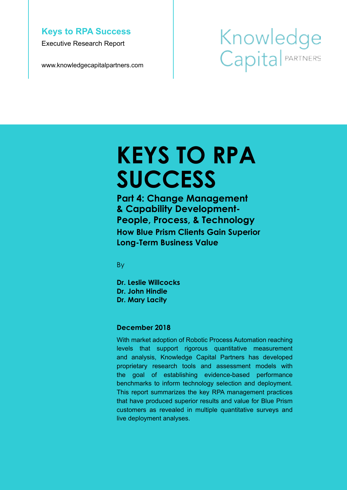#### **Keys to RPA Success**

Executive Research Report

www.knowledgecapitalpartners.com

# Knowledge Capital PARTNERS

# **KEYS TO RPA SUCCESS**

**Part 4: Change Management & Capability Development-People, Process, & Technology How Blue Prism Clients Gain Superior Long-Term Business Value**

By

**Dr. Leslie Willcocks Dr. John Hindle Dr. Mary Lacity**

#### **December 2018**

With market adoption of Robotic Process Automation reaching levels that support rigorous quantitative measurement and analysis, Knowledge Capital Partners has developed proprietary research tools and assessment models with the goal of establishing evidence-based performance benchmarks to inform technology selection and deployment. This report summarizes the key RPA management practices that have produced superior results and value for Blue Prism customers as revealed in multiple quantitative surveys and live deployment analyses.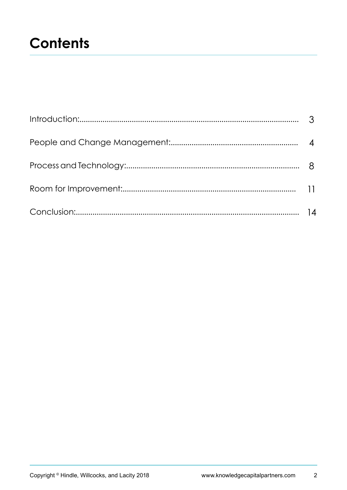## **Contents**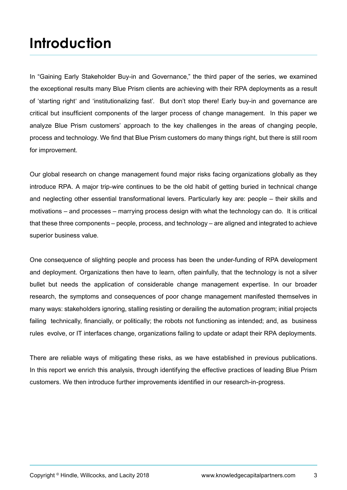## **Introduction**

In "Gaining Early Stakeholder Buy-in and Governance," the third paper of the series, we examined the exceptional results many Blue Prism clients are achieving with their RPA deployments as a result of 'starting right' and 'institutionalizing fast'. But don't stop there! Early buy-in and governance are critical but insufficient components of the larger process of change management. In this paper we analyze Blue Prism customers' approach to the key challenges in the areas of changing people, process and technology. We find that Blue Prism customers do many things right, but there is still room for improvement.

Our global research on change management found major risks facing organizations globally as they introduce RPA. A major trip-wire continues to be the old habit of getting buried in technical change and neglecting other essential transformational levers. Particularly key are: people – their skills and motivations – and processes – marrying process design with what the technology can do. It is critical that these three components – people, process, and technology – are aligned and integrated to achieve superior business value.

One consequence of slighting people and process has been the under-funding of RPA development and deployment. Organizations then have to learn, often painfully, that the technology is not a silver bullet but needs the application of considerable change management expertise. In our broader research, the symptoms and consequences of poor change management manifested themselves in many ways: stakeholders ignoring, stalling resisting or derailing the automation program; initial projects failing technically, financially, or politically; the robots not functioning as intended; and, as business rules evolve, or IT interfaces change, organizations failing to update or adapt their RPA deployments.

There are reliable ways of mitigating these risks, as we have established in previous publications. In this report we enrich this analysis, through identifying the effective practices of leading Blue Prism customers. We then introduce further improvements identified in our research-in-progress.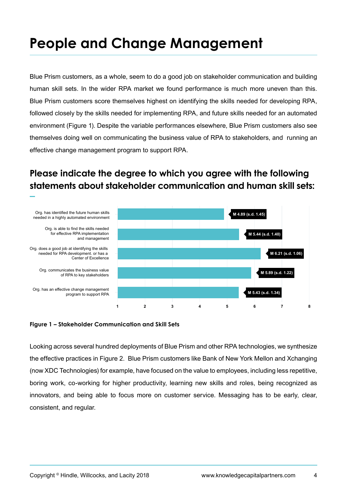## **People and Change Management**

Blue Prism customers, as a whole, seem to do a good job on stakeholder communication and building human skill sets. In the wider RPA market we found performance is much more uneven than this. Blue Prism customers score themselves highest on identifying the skills needed for developing RPA, followed closely by the skills needed for implementing RPA, and future skills needed for an automated environment (Figure 1). Despite the variable performances elsewhere, Blue Prism customers also see themselves doing well on communicating the business value of RPA to stakeholders, and running an effective change management program to support RPA.

### **Please indicate the degree to which you agree with the following statements about stakeholder communication and human skill sets:**



#### **Figure 1 – Stakeholder Communication and Skill Sets**

Looking across several hundred deployments of Blue Prism and other RPA technologies, we synthesize the effective practices in Figure 2. Blue Prism customers like Bank of New York Mellon and Xchanging (now XDC Technologies) for example, have focused on the value to employees, including less repetitive, boring work, co-working for higher productivity, learning new skills and roles, being recognized as innovators, and being able to focus more on customer service. Messaging has to be early, clear, consistent, and regular.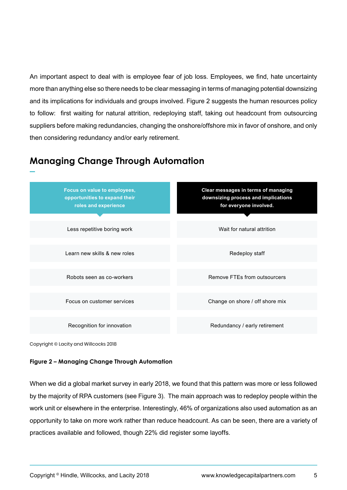An important aspect to deal with is employee fear of job loss. Employees, we find, hate uncertainty more than anything else so there needs to be clear messaging in terms of managing potential downsizing and its implications for individuals and groups involved. Figure 2 suggests the human resources policy to follow: first waiting for natural attrition, redeploying staff, taking out headcount from outsourcing suppliers before making redundancies, changing the onshore/offshore mix in favor of onshore, and only then considering redundancy and/or early retirement.

### **Managing Change Through Automation**



Copyright © Lacity and Willcocks 2018

#### **Figure 2 – Managing Change Through Automation**

When we did a global market survey in early 2018, we found that this pattern was more or less followed by the majority of RPA customers (see Figure 3). The main approach was to redeploy people within the work unit or elsewhere in the enterprise. Interestingly, 46% of organizations also used automation as an opportunity to take on more work rather than reduce headcount. As can be seen, there are a variety of practices available and followed, though 22% did register some layoffs.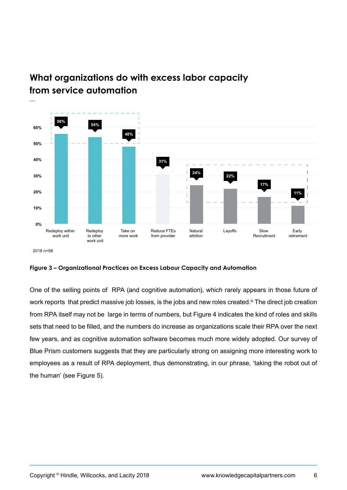



2018 n=98

#### **Figure 3 – Organizational Practices on Excess Labour Capacity and Automation**

One of the selling points of RPA (and cognitive automation), which rarely appears in those future of work reports that predict massive job losses, is the jobs and new roles created.<sup>iii</sup> The direct job creation from RPA itself may not be large in terms of numbers, but Figure 4 indicates the kind of roles and skills sets that need to be filled, and the numbers do increase as organizations scale their RPA over the next few years, and as cognitive automation software becomes much more widely adopted. Our survey of Blue Prism customers suggests that they are particularly strong on assigning more interesting work to employees as a result of RPA deployment, thus demonstrating, in our phrase, 'taking the robot out of the human' (see Figure 5).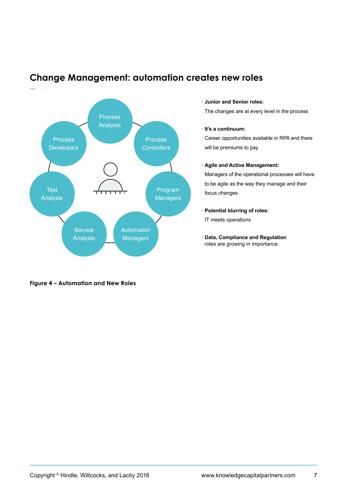

### **Change Management: automation creates new roles**

## **Figure 4 – Automation and New Roles**

#### • **Junior and Senior roles:**

The changes are at every level in the process

#### • **It's a continuum:**

Career opportunities available in RPA and there will be premiums to pay

#### • **Agile and Active Management:**

Managers of the operational processes will have to be agile as the way they manage and their focus changes

- **Potential blurring of roles:** IT meets operations
- **Data, Compliance and Regulation** roles are growing in importance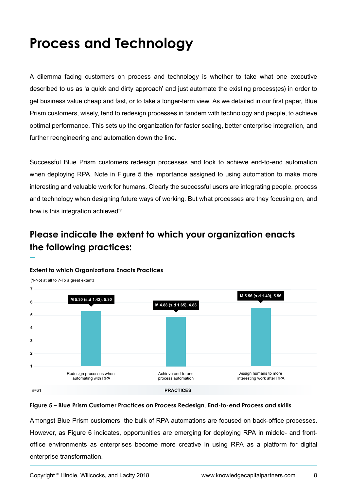## **Process and Technology**

A dilemma facing customers on process and technology is whether to take what one executive described to us as 'a quick and dirty approach' and just automate the existing process(es) in order to get business value cheap and fast, or to take a longer-term view. As we detailed in our first paper, Blue Prism customers, wisely, tend to redesign processes in tandem with technology and people, to achieve optimal performance. This sets up the organization for faster scaling, better enterprise integration, and further reengineering and automation down the line.

Successful Blue Prism customers redesign processes and look to achieve end-to-end automation when deploying RPA. Note in Figure 5 the importance assigned to using automation to make more interesting and valuable work for humans. Clearly the successful users are integrating people, process and technology when designing future ways of working. But what processes are they focusing on, and how is this integration achieved?

## **Please indicate the extent to which your organization enacts the following practices:**



#### **Extent to which Organizations Enacts Practices**

#### **Figure 5 – Blue Prism Customer Practices on Process Redesign, End-to-end Process and skills**

Amongst Blue Prism customers, the bulk of RPA automations are focused on back-office processes. However, as Figure 6 indicates, opportunities are emerging for deploying RPA in middle- and frontoffice environments as enterprises become more creative in using RPA as a platform for digital enterprise transformation.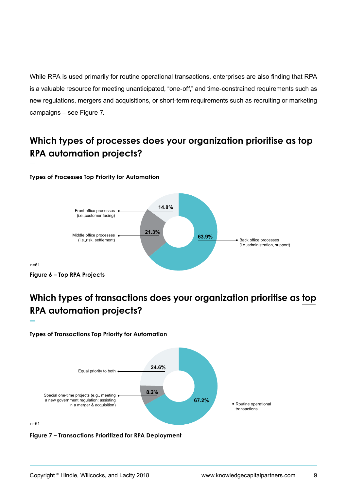While RPA is used primarily for routine operational transactions, enterprises are also finding that RPA is a valuable resource for meeting unanticipated, "one-off," and time-constrained requirements such as new regulations, mergers and acquisitions, or short-term requirements such as recruiting or marketing campaigns – see Figure 7.

## **Which types of processes does your organization prioritise as top RPA automation projects?**

#### **Types of Processes Top Priority for Automation**



## **Which types of transactions does your organization prioritise as top RPA automation projects?**



**Types of Transactions Top Priority for Automation**

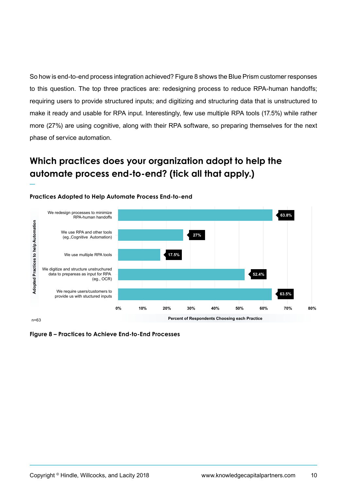So how is end-to-end process integration achieved? Figure 8 shows the Blue Prism customer responses to this question. The top three practices are: redesigning process to reduce RPA-human handoffs; requiring users to provide structured inputs; and digitizing and structuring data that is unstructured to make it ready and usable for RPA input. Interestingly, few use multiple RPA tools (17.5%) while rather more (27%) are using cognitive, along with their RPA software, so preparing themselves for the next phase of service automation.

## **Which practices does your organization adopt to help the automate process end-to-end? (tick all that apply.)**



#### **Practices Adopted to Help Automate Process End-to-end**

**Figure 8 – Practices to Achieve End-to-End Processes**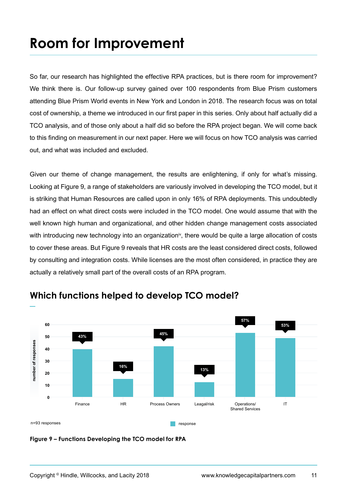## **Room for Improvement**

So far, our research has highlighted the effective RPA practices, but is there room for improvement? We think there is. Our follow-up survey gained over 100 respondents from Blue Prism customers attending Blue Prism World events in New York and London in 2018. The research focus was on total cost of ownership, a theme we introduced in our first paper in this series. Only about half actually did a TCO analysis, and of those only about a half did so before the RPA project began. We will come back to this finding on measurement in our next paper. Here we will focus on how TCO analysis was carried out, and what was included and excluded.

Given our theme of change management, the results are enlightening, if only for what's missing. Looking at Figure 9, a range of stakeholders are variously involved in developing the TCO model, but it is striking that Human Resources are called upon in only 16% of RPA deployments. This undoubtedly had an effect on what direct costs were included in the TCO model. One would assume that with the well known high human and organizational, and other hidden change management costs associated with introducing new technology into an organization<sup>iv</sup>, there would be quite a large allocation of costs to cover these areas. But Figure 9 reveals that HR costs are the least considered direct costs, followed by consulting and integration costs. While licenses are the most often considered, in practice they are actually a relatively small part of the overall costs of an RPA program.



### **Which functions helped to develop TCO model?**

**Figure 9 – Functions Developing the TCO model for RPA**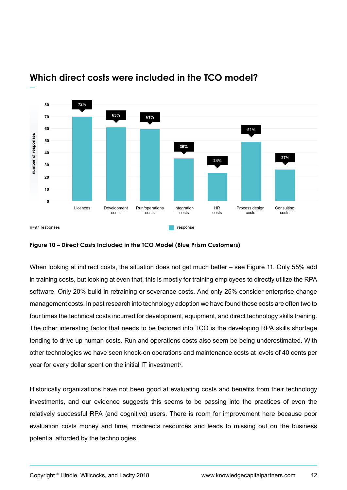

### **Which direct costs were included in the TCO model?**

#### **Figure 10 – Direct Costs Included in the TCO Model (Blue Prism Customers)**

When looking at indirect costs, the situation does not get much better – see Figure 11. Only 55% add in training costs, but looking at even that, this is mostly for training employees to directly utilize the RPA software. Only 20% build in retraining or severance costs. And only 25% consider enterprise change management costs. In past research into technology adoption we have found these costs are often two to four times the technical costs incurred for development, equipment, and direct technology skills training. The other interesting factor that needs to be factored into TCO is the developing RPA skills shortage tending to drive up human costs. Run and operations costs also seem be being underestimated. With other technologies we have seen knock-on operations and maintenance costs at levels of 40 cents per year for every dollar spent on the initial IT investment<sup>v</sup>.

Historically organizations have not been good at evaluating costs and benefits from their technology investments, and our evidence suggests this seems to be passing into the practices of even the relatively successful RPA (and cognitive) users. There is room for improvement here because poor evaluation costs money and time, misdirects resources and leads to missing out on the business potential afforded by the technologies.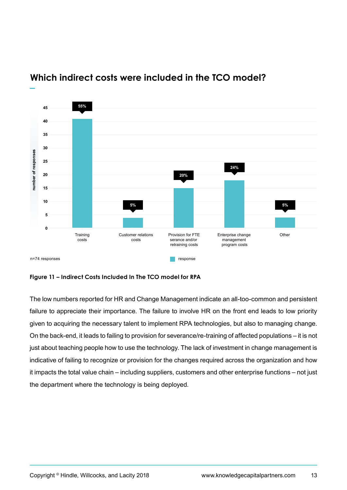

### **Which indirect costs were included in the TCO model?**

**Figure 11 – Indirect Costs Included In The TCO model for RPA**

The low numbers reported for HR and Change Management indicate an all-too-common and persistent failure to appreciate their importance. The failure to involve HR on the front end leads to low priority given to acquiring the necessary talent to implement RPA technologies, but also to managing change. On the back-end, it leads to failing to provision for severance/re-training of affected populations – it is not just about teaching people how to use the technology. The lack of investment in change management is indicative of failing to recognize or provision for the changes required across the organization and how it impacts the total value chain – including suppliers, customers and other enterprise functions – not just the department where the technology is being deployed.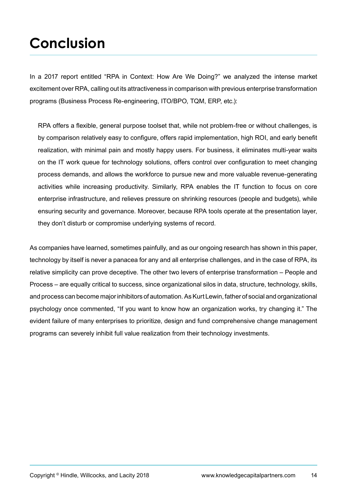## **Conclusion**

In a 2017 report entitled "RPA in Context: How Are We Doing?" we analyzed the intense market excitement over RPA, calling out its attractiveness in comparison with previous enterprise transformation programs (Business Process Re-engineering, ITO/BPO, TQM, ERP, etc.):

RPA offers a flexible, general purpose toolset that, while not problem-free or without challenges, is by comparison relatively easy to configure, offers rapid implementation, high ROI, and early benefit realization, with minimal pain and mostly happy users. For business, it eliminates multi-year waits on the IT work queue for technology solutions, offers control over configuration to meet changing process demands, and allows the workforce to pursue new and more valuable revenue-generating activities while increasing productivity. Similarly, RPA enables the IT function to focus on core enterprise infrastructure, and relieves pressure on shrinking resources (people and budgets), while ensuring security and governance. Moreover, because RPA tools operate at the presentation layer, they don't disturb or compromise underlying systems of record.

As companies have learned, sometimes painfully, and as our ongoing research has shown in this paper, technology by itself is never a panacea for any and all enterprise challenges, and in the case of RPA, its relative simplicity can prove deceptive. The other two levers of enterprise transformation – People and Process – are equally critical to success, since organizational silos in data, structure, technology, skills, and process can become major inhibitors of automation. As Kurt Lewin, father of social and organizational psychology once commented, "If you want to know how an organization works, try changing it." The evident failure of many enterprises to prioritize, design and fund comprehensive change management programs can severely inhibit full value realization from their technology investments.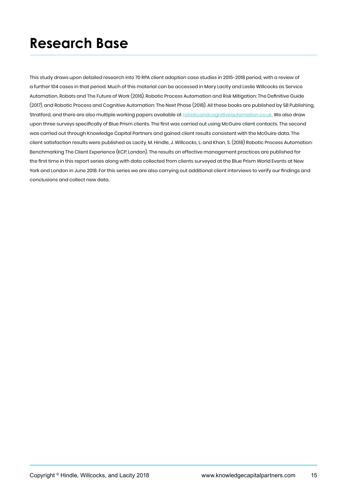## **Research Base**

This study draws upon detailed research into 70 RPA client adoption case studies in 2015-2018 period, with a review of a further 104 cases in that period. Much of this material can be accessed in Mary Lacity and Leslie Willcocks as Service Automation, Robots and The Future of Work (2016), Robotic Process Automation and Risk Mitigation: The Definitive Guide (2017), and Robotic Process and Cognitive Automation: The Next Phase (2018). All these books are published by SB Publishing, Stratford, and there are also multiple working papers available at [roboticandcognitiveautomation.co.uk.](http://roboticandcognitiveautomation.co.uk.) We also draw upon three surveys specifically of Blue Prism clients. The first was carried out using McGuire client contacts. The second was carried out through Knowledge Capital Partners and gained client results consistent with the McGuire data. The client satisfaction results were published as Lacity, M. Hindle, J. Willcocks, L. and Khan, S. (2018) Robotic Process Automation: Benchmarking The Client Experience (KCP, London). The results on effective management practices are published for the first time in this report series along with data collected from clients surveyed at the Blue Prism World Events at New York and London in June 2018. For this series we are also carrying out additional client interviews to verify our findings and conclusions and collect new data.